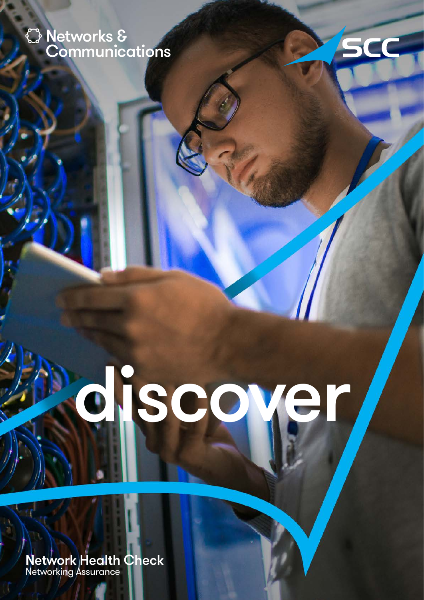# Networks & **Communications**



# discove

Network Health Check Networking Assurance